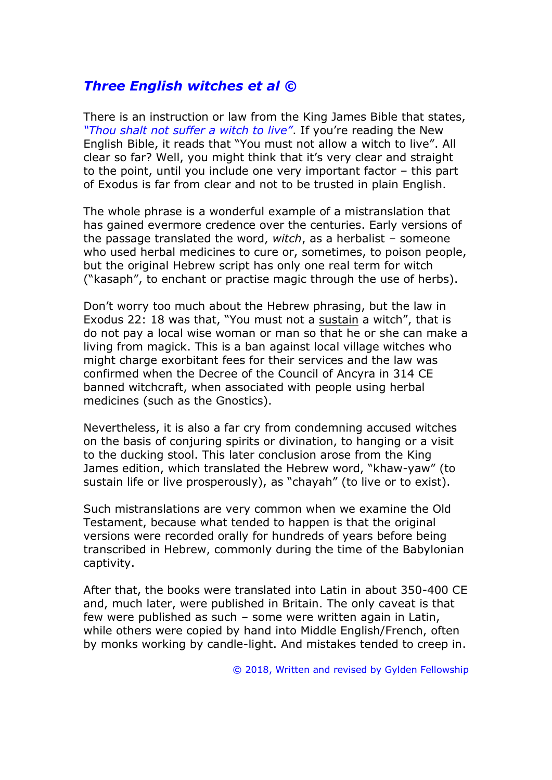# *Three English witches et al ©*

There is an instruction or law from the King James Bible that states, *"Thou shalt not suffer a witch to live"*. If you're reading the New English Bible, it reads that "You must not allow a witch to live". All clear so far? Well, you might think that it's very clear and straight to the point, until you include one very important factor – this part of Exodus is far from clear and not to be trusted in plain English.

The whole phrase is a wonderful example of a mistranslation that has gained evermore credence over the centuries. Early versions of the passage translated the word, *witch*, as a herbalist – someone who used herbal medicines to cure or, sometimes, to poison people, but the original Hebrew script has only one real term for witch ("kasaph", to enchant or practise magic through the use of herbs).

Don't worry too much about the Hebrew phrasing, but the law in Exodus 22: 18 was that, "You must not a sustain a witch", that is do not pay a local wise woman or man so that he or she can make a living from magick. This is a ban against local village witches who might charge exorbitant fees for their services and the law was confirmed when the Decree of the Council of Ancyra in 314 CE banned witchcraft, when associated with people using herbal medicines (such as the Gnostics).

Nevertheless, it is also a far cry from condemning accused witches on the basis of conjuring spirits or divination, to hanging or a visit to the ducking stool. This later conclusion arose from the King James edition, which translated the Hebrew word, "khaw-yaw" (to sustain life or live prosperously), as "chayah" (to live or to exist).

Such mistranslations are very common when we examine the Old Testament, because what tended to happen is that the original versions were recorded orally for hundreds of years before being transcribed in Hebrew, commonly during the time of the Babylonian captivity.

After that, the books were translated into Latin in about 350-400 CE and, much later, were published in Britain. The only caveat is that few were published as such – some were written again in Latin, while others were copied by hand into Middle English/French, often by monks working by candle-light. And mistakes tended to creep in.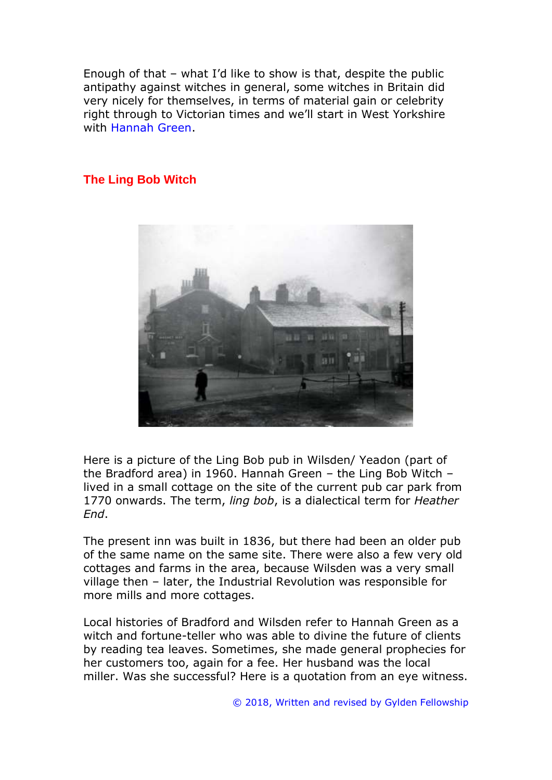Enough of that – what I'd like to show is that, despite the public antipathy against witches in general, some witches in Britain did very nicely for themselves, in terms of material gain or celebrity right through to Victorian times and we'll start in West Yorkshire with Hannah Green.

#### **The Ling Bob Witch**



Here is a picture of the Ling Bob pub in Wilsden/ Yeadon (part of the Bradford area) in 1960. Hannah Green – the Ling Bob Witch – lived in a small cottage on the site of the current pub car park from 1770 onwards. The term, *ling bob*, is a dialectical term for *Heather End*.

The present inn was built in 1836, but there had been an older pub of the same name on the same site. There were also a few very old cottages and farms in the area, because Wilsden was a very small village then – later, the Industrial Revolution was responsible for more mills and more cottages.

Local histories of Bradford and Wilsden refer to Hannah Green as a witch and fortune-teller who was able to divine the future of clients by reading tea leaves. Sometimes, she made general prophecies for her customers too, again for a fee. Her husband was the local miller. Was she successful? Here is a quotation from an eye witness.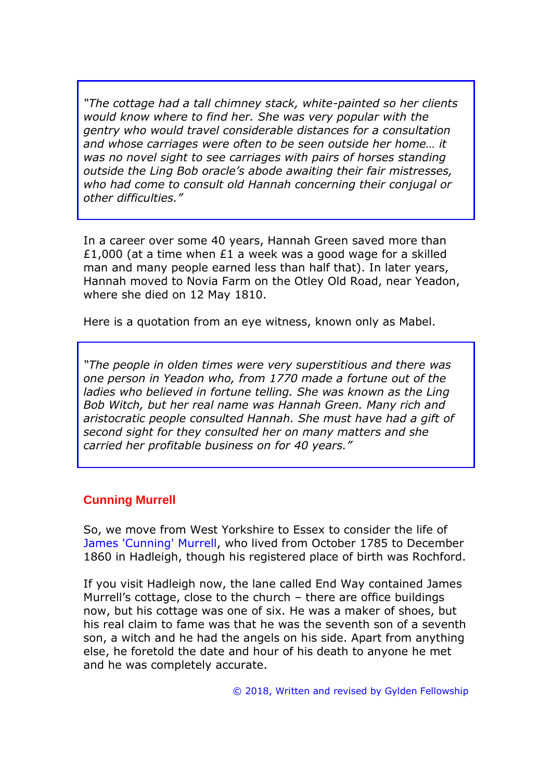*"The cottage had a tall chimney stack, white-painted so her clients would know where to find her. She was very popular with the gentry who would travel considerable distances for a consultation and whose carriages were often to be seen outside her home… it was no novel sight to see carriages with pairs of horses standing outside the Ling Bob oracle's abode awaiting their fair mistresses, who had come to consult old Hannah concerning their conjugal or other difficulties."* 

In a career over some 40 years, Hannah Green saved more than £1,000 (at a time when £1 a week was a good wage for a skilled man and many people earned less than half that). In later years, Hannah moved to Novia Farm on the Otley Old Road, near Yeadon, where she died on 12 May 1810.

Here is a quotation from an eye witness, known only as Mabel.

*"The people in olden times were very superstitious and there was one person in Yeadon who, from 1770 made a fortune out of the ladies who believed in fortune telling. She was known as the Ling Bob Witch, but her real name was Hannah Green. Many rich and aristocratic people consulted Hannah. She must have had a gift of second sight for they consulted her on many matters and she carried her profitable business on for 40 years."*

## **Cunning Murrell**

So, we move from West Yorkshire to Essex to consider the life of James 'Cunning' Murrell, who lived from October 1785 to December 1860 in Hadleigh, though his registered place of birth was Rochford.

If you visit Hadleigh now, the lane called End Way contained James Murrell's cottage, close to the church – there are office buildings now, but his cottage was one of six. He was a maker of shoes, but his real claim to fame was that he was the seventh son of a seventh son, a witch and he had the angels on his side. Apart from anything else, he foretold the date and hour of his death to anyone he met and he was completely accurate.

© 2018, Written and revised by Gylden Fellowship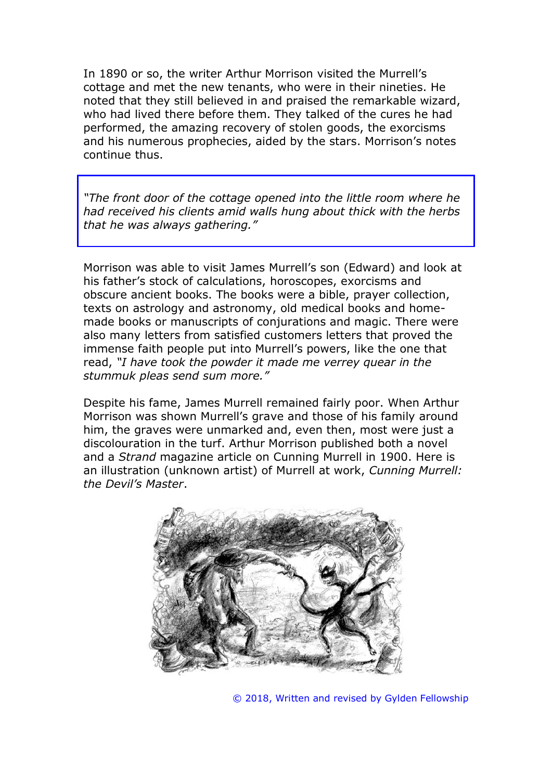In 1890 or so, the writer Arthur Morrison visited the Murrell's cottage and met the new tenants, who were in their nineties. He noted that they still believed in and praised the remarkable wizard, who had lived there before them. They talked of the cures he had performed, the amazing recovery of stolen goods, the exorcisms and his numerous prophecies, aided by the stars. Morrison's notes continue thus.

*"The front door of the cottage opened into the little room where he had received his clients amid walls hung about thick with the herbs that he was always gathering."*

Morrison was able to visit James Murrell's son (Edward) and look at his father's stock of calculations, horoscopes, exorcisms and obscure ancient books. The books were a bible, prayer collection, texts on astrology and astronomy, old medical books and homemade books or manuscripts of conjurations and magic. There were also many letters from satisfied customers letters that proved the immense faith people put into Murrell's powers, like the one that read, *"I have took the powder it made me verrey quear in the stummuk pleas send sum more."*

Despite his fame, James Murrell remained fairly poor. When Arthur Morrison was shown Murrell's grave and those of his family around him, the graves were unmarked and, even then, most were just a discolouration in the turf. Arthur Morrison published both a novel and a *Strand* magazine article on Cunning Murrell in 1900. Here is an illustration (unknown artist) of Murrell at work, *Cunning Murrell: the Devil's Master*.



© 2018, Written and revised by Gylden Fellowship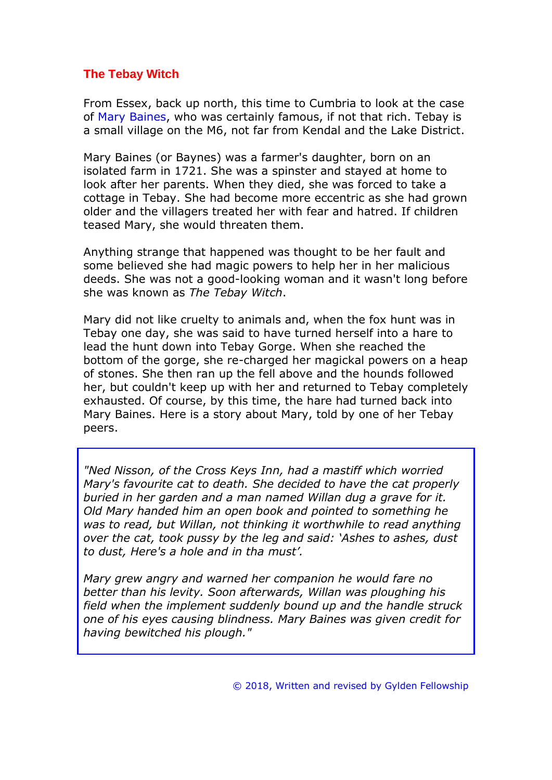## **The Tebay Witch**

From Essex, back up north, this time to Cumbria to look at the case of Mary Baines, who was certainly famous, if not that rich. Tebay is a small village on the M6, not far from Kendal and the Lake District.

Mary Baines (or Baynes) was a farmer's daughter, born on an isolated farm in 1721. She was a spinster and stayed at home to look after her parents. When they died, she was forced to take a cottage in Tebay. She had become more eccentric as she had grown older and the villagers treated her with fear and hatred. If children teased Mary, she would threaten them.

Anything strange that happened was thought to be her fault and some believed she had magic powers to help her in her malicious deeds. She was not a good-looking woman and it wasn't long before she was known as *The Tebay Witch*.

Mary did not like cruelty to animals and, when the fox hunt was in Tebay one day, she was said to have turned herself into a hare to lead the hunt down into Tebay Gorge. When she reached the bottom of the gorge, she re-charged her magickal powers on a heap of stones. She then ran up the fell above and the hounds followed her, but couldn't keep up with her and returned to Tebay completely exhausted. Of course, by this time, the hare had turned back into Mary Baines. Here is a story about Mary, told by one of her Tebay peers.

*"Ned Nisson, of the Cross Keys Inn, had a mastiff which worried Mary's favourite cat to death. She decided to have the cat properly buried in her garden and a man named Willan dug a grave for it. Old Mary handed him an open book and pointed to something he was to read, but Willan, not thinking it worthwhile to read anything over the cat, took pussy by the leg and said: 'Ashes to ashes, dust to dust, Here's a hole and in tha must'.*

*Mary grew angry and warned her companion he would fare no better than his levity. Soon afterwards, Willan was ploughing his field when the implement suddenly bound up and the handle struck one of his eyes causing blindness. Mary Baines was given credit for having bewitched his plough."*